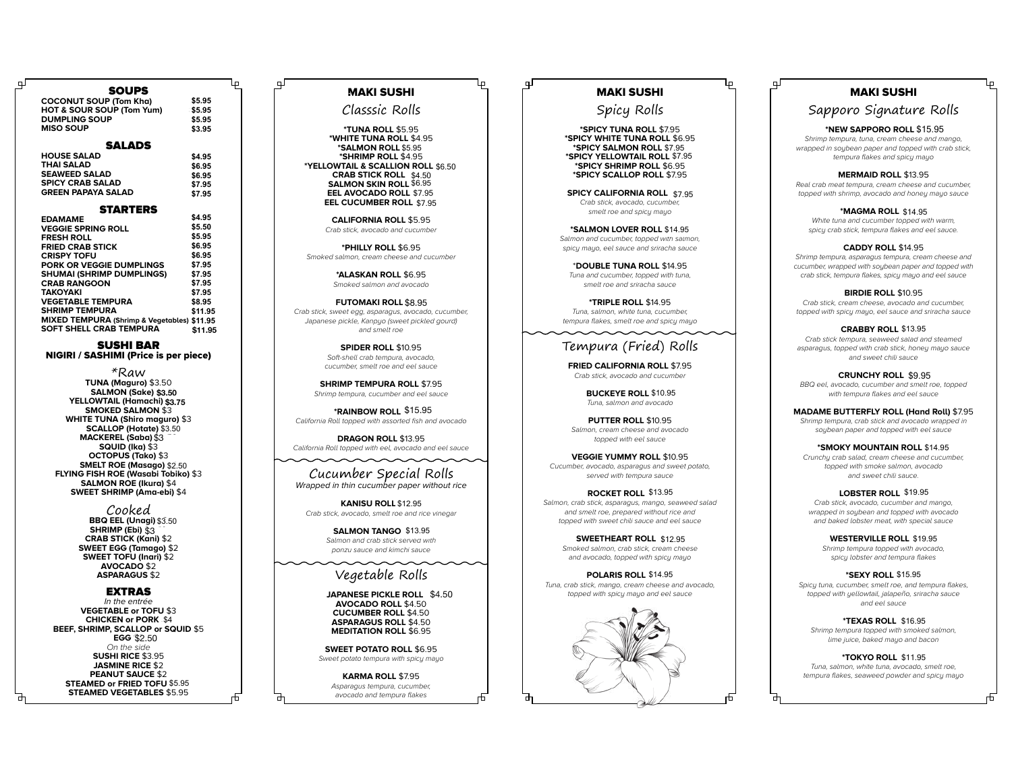| SOU 25                                      |         |
|---------------------------------------------|---------|
| <b>COCONUT SOUP (Tom Kha)</b>               | \$5.95  |
| <b>HOT &amp; SOUR SOUP (Tom Yum)</b>        | \$5.95  |
| <b>DUMPLING SOUP</b>                        | \$5.95  |
| <b>MISO SOUP</b>                            | \$3.95  |
| <b>SALADS</b>                               |         |
| <b>HOUSE SALAD</b>                          |         |
| THAI SALAD                                  | \$4.95  |
| <b>SEAWEED SALAD</b>                        | \$6.95  |
| <b>SPICY CRAB SALAD</b>                     | \$6.95  |
| GREEN PAPAYA SALAD                          | \$7.95  |
|                                             | \$7.95  |
| <b>STARTERS</b>                             |         |
| <b>EDAMAME</b>                              | \$4.95  |
| <b>VEGGIE SPRING ROLL</b>                   | \$5.50  |
| <b>FRESH ROLL</b>                           | \$5.95  |
| <b>FRIED CRAB STICK</b>                     | \$6.95  |
| <b>CRISPY TOFU</b>                          | \$6.95  |
| PORK OR VEGGIE DUMPLINGS                    | \$7.95  |
| SHUMAI (SHRIMP DUMPLINGS)                   | \$7.95  |
| <b>CRAB RANGOON</b>                         | \$7.95  |
| ΤΑΚΟΥΑΚΙ                                    | \$7.95  |
| <b>VEGETABLE TEMPURA</b>                    | \$8.95  |
| <b>SHRIMP TEMPURA</b>                       | \$11.95 |
| MIXED TEMPURA (Shrimp & Vegetables) \$11.95 |         |
| <b>SOFT SHELL CRAB TEMPURA</b>              | \$11.95 |

 $\sim$  Soups and  $\sim$ 

#### SUSHI BAR NIGIRI / SASHIMI (Price is per piece)

\*Raw **TUNA (Maguro)** \$3.50 **SALMON (Sake)** \$3 \$3.50 **YELLOWTAIL (Hamachi)** \$3.50 **\$3.50\$3.75 SMOKED SALMON** \$3 **WHITE TUNA (Shiro maguro)** \$3 **SCALLOP (Hotate)** \$3 \$3.50 **MACKEREL (Saba)** \$3 **SQUID (Ika)** \$3 **OCTOPUS (Tako)** \$3 **SMELT ROE (Masago)** \$2 \$2.50 **FLYING FISH ROE (Wasabi Tobiko)** \$3 **SALMON ROE (Ikura)** \$4 **SWEET SHRIMP (Ama-ebi)** \$4

> Cooked **BBQ EEL (Unagi)** \$3 \$3.50 **SHRIMP (Ebi)** \$3 **CRAB STICK (Kani)** \$2 **SWEET EGG (Tamago)** \$2 **SWEET TOFU (Inari)** \$2 **AVOCADO** \$2 **ASPARAGUS** \$2

#### EXTRAS

In the entrée **VEGETABLE or TOFU** \$3 **CHICKEN or PORK** \$3 \$4 **BEEF, SHRIMP, SCALLOP or SQUID** \$5 **EGG** \$2 \$2.50 On the side **SUSHI RICE** \$3.95 **JASMINE RICE** \$2 **PEANUT SAUCE** \$2 **STEAMED or FRIED TOFU \$5.95 STEAMED VEGETABLES** \$5.95

ᅩ

# MAKI SUSHI

Classsic Rolls

டி

**\*TUNA ROLL** \$5.95 **\*WHITE TUNA ROLL** \$4.95 **\*SALMON ROLL \$5.95 \*SHRIMP ROLL** \$4.95 **\*YELLOWTAIL & SCALLION ROLL** \$5.95 \$6.50 **CRAB STICK ROLL** \$4.50 **SALMON SKIN ROLL** \$5.95 \$6.95 **EEL AVOCADO ROLL \$7.95 CRAB STICK ROLL \$4.50<br><b>SALMON SKIN ROLL \$6.95**<br>**EEL AVOCADO ROLL \$7.95**<br>EEL CUCUMBER ROLL \$7.95 **LL \$4.50<br>
DLL \$6.95<br>
DLL \$7.9<br>
CLL \$7.9<br>
CLL \$7.95<br>
CLL \$6.95<br>
Sexe and cumples and cumples<br>
Sexe and cumples and contract pickle<br>
Sexe and cel sau<br>
Sexe and cel sau<br>
ROLL \$7.5.95<br>
Word fish a.<br>
Sexe and cel sau<br>
Sexe and** 

**CALIFORNIA ROLL** \$5.95 Crab stick, avocado and cucumber

**\*PHILLY ROLL** \$6.95 Smoked salmon, cream cheese and cucumber

> **\*ALASKAN ROLL** \$6.95 Smoked salmon and avocado

**FUTOMAKI ROLL \$8.95** Crab stick, sweet egg, asparagus, avocado, cucumber, Japanese pickle, Kanpyo (sweet pickled gourd) and smelt roe

> **SPIDER ROLL** \$10.95 Soft-shell crab tempura, avocado, cucumber, smelt roe and eel sauce

**SHRIMP TEMPURA ROLL \$7.95** Shrimp tempura, cucumber and eel sauce

**\*RAINBOW ROLL \$15.95** California Roll topped with assorted fish and avocado

**DRAGON ROLL** \$13.95 California Roll topped with eel, avocado and eel sauce

Cucumber Special Rolls Wrapped in thin cucumber paper without rice

**KANISU ROLL \$12.95** Crab stick, avocado, smelt roe and rice vinegar

> SALMON TANGO \$13.95 Salmon and crab stick served with ponzu sauce and kimchi sauce

# Vegetable Rolls

**JAPANESE PICKLE ROLL \$4.50 AVOCADO ROLL** \$4.50 **CUCUMBER ROLL** \$4.50 **ASPARAGUS ROLL** \$4.50 **MEDITATION ROLL** \$6.95

**SWEET POTATO ROLL** \$6.95 Sweet potato tempura with spicy mayo

**KARMA ROLL** \$7.95 Asparagus tempura, cucumber, avocado and tempura flakes

ᄯ

# MAKI SUSHI

டி

Spicy Rolls

**\*SPICY TUNA ROLL** \$7.95 **\*SPICY WHITE TUNA ROLL** \$6.95 **\*SPICY SALMON ROLL \$7.95 \*SPICY YELLOWTAIL ROLL \$7.95 \*SPICY SHRIMP ROLL** \$6.95 **\*SPICY SCALLOP ROLL** \$7.95

**SPICY CALIFORNIA ROLL \$7.95** Crab stick, avocado, cucumber, smelt roe and spicy mayo

**\*SALMON LOVER ROLL \$14.95** Salmon and cucumber, topped with salmon, spicy mayo, eel sauce and sriracha sauce

\***DOUBLE TUNA ROLL** \$14.95 Tuna and cucumber, topped with tuna, smelt roe and sriracha sauce

**\*TRIPLE ROLL** \$14.95 Tuna, salmon, white tuna, cucumber, tempura flakes, smelt roe and spicy mayo

# Tempura (Fried) Rolls

**FRIED CALIFORNIA ROLL \$7.95** Crab stick, avocado and cucumber

> **BUCKEYE ROLL \$10.95** Tuna, salmon and avocado

**PUTTER ROLL** \$10.95 Salmon, cream cheese and avocado topped with eel sauce

**VEGGIE YUMMY ROLL** \$10.95 Cucumber, avocado, asparagus and sweet potato, served with tempura sauce

**ROCKET ROLL \$13.95** Salmon, crab stick, asparagus, mango, seaweed salad and smelt roe, prepared without rice and topped with sweet chili sauce and eel sauce 37.95<br>
\$16.95<br>
\$16.95<br>
\$16.95<br>
\$16.95<br>
\$16.95<br>
\$16.95<br>
\$16.95<br>
\$16.95<br>
\$16.95<br>
\$16.95<br>
\$16.95<br>
\$16.95<br>
\$16.95<br>
\$2.97 POVALE TRIAL SALS<br>
\$16.95<br>
\$2.97 POVALE TRIAL SALS<br>
\$16.95<br>
\$2.98<br>
\$2.98<br>
\$2.98<br>
\$2.98<br>
\$2.98<br>
\$2.98<br>
\$2

**SWEETHEART ROLL \$12.95 SWEETHEART ROLL \$12.95**<br>Smoked salmon, crab stick, cream cheese<br>and avocado, topped with spicy mayo<br>**POLARIS ROLL \$14.95** and avocado, topped with spicy mayo

**POLARIS ROLL \$14.95** Tuna, crab stick, mango, cream cheese and avocado, topped with spicy mayo and eel sauce



Æ

#### MAKI SUSHI

## Sapporo Signature Rolls

**\*NEW SAPPORO ROLL \$15.95** Shrimp tempura, tuna, cream cheese and mango, wrapped in soybean paper and topped with crab stick, tempura flakes and spicy mayo

**MERMAID ROLL** \$13.95 Real crab meat tempura, cream cheese and cucumber, topped with shrimp, avocado and honey mayo sauce

**\*MAGMA ROLL \$14.95** White tuna and cucumber topped with warm, spicy crab stick, tempura flakes and eel sauce.

**CADDY ROLL** \$14.95

Shrimp tempura, asparagus tempura, cream cheese and cucumber, wrapped with soybean paper and topped with crab stick, tempura flakes, spicy mayo and eel sauce

**BIRDIE ROLL** \$10.95 Crab stick, cream cheese, avocado and cucumber, topped with spicy mayo, eel sauce and sriracha sauce

**CRABBY ROLL \$13.95** Crab stick tempura, seaweed salad and steamed asparagus, topped with crab stick, honey mayo sauce and sweet chili sauce

**CRUNCHY ROLL** \$8.95 \$9.95 BBQ eel, avocado, cucumber and smelt roe, topped with tempura flakes and eel sauce

**MADAME BUTTERFLY ROLL (Hand Roll)** \$7.95 Shrimp tempura, crab stick and avocado wrapped in

soybean paper and topped with eel sauce

**\*SMOKY MOUNTAIN ROLL** \$13.95

Crunchy crab salad, cream cheese and cucumber, topped with smoke salmon, avocado and sweet chili sauce. **ROLL \$14.95**<br>ese and cucun<br>on, avocado<br>uce.<br>**\$19.95** 

#### LOBSTER ROLL \$19.95

Crab stick, avocado, cucumber and mango, wrapped in soubean and topped with avocado and baked lobster meat, with special sauce

> **WESTERVILLE ROLL \$19.95** Shrimp tempura topped with avocado, spicy lobster and tempura flakes

**\*SEXY ROLL \$15.95** Spicu tuna, cucumber, smelt roe, and tempura flakes topped with yellowtail, jalapeño, sriracha sauce and eel sauce

**\*TEXAS ROLL** \$15.95 \$16.95 Shrimp tempura topped with smoked salmon, lime juice, baked mayo and bacon

**\*TOKYO ROLL \$11.95** Tuna, salmon, white tuna, avocado, smelt roe, tempura flakes, seaweed powder and spicy mayo

市